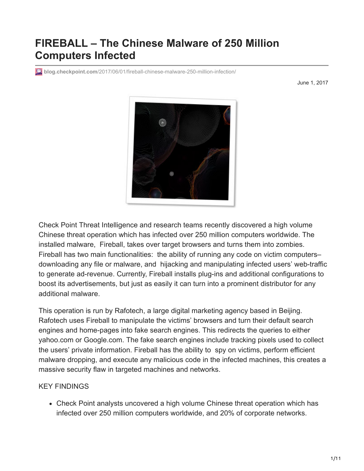# **FIREBALL – The Chinese Malware of 250 Million Computers Infected**

**blog.checkpoint.com**[/2017/06/01/fireball-chinese-malware-250-million-infection/](http://blog.checkpoint.com/2017/06/01/fireball-chinese-malware-250-million-infection/)

June 1, 2017



Check Point Threat Intelligence and research teams recently discovered a high volume Chinese threat operation which has infected over 250 million computers worldwide. The installed malware, Fireball, takes over target browsers and turns them into zombies. Fireball has two main functionalities: the ability of running any code on victim computers– downloading any file or malware, and hijacking and manipulating infected users' web-traffic to generate ad-revenue. Currently, Fireball installs plug-ins and additional configurations to boost its advertisements, but just as easily it can turn into a prominent distributor for any additional malware.

This operation is run by Rafotech, a large digital marketing agency based in Beijing. Rafotech uses Fireball to manipulate the victims' browsers and turn their default search engines and home-pages into fake search engines. This redirects the queries to either yahoo.com or Google.com. The fake search engines include tracking pixels used to collect the users' private information. Fireball has the ability to spy on victims, perform efficient malware dropping, and execute any malicious code in the infected machines, this creates a massive security flaw in targeted machines and networks.

#### KEY FINDINGS

Check Point analysts uncovered a high volume Chinese threat operation which has infected over 250 million computers worldwide, and 20% of corporate networks.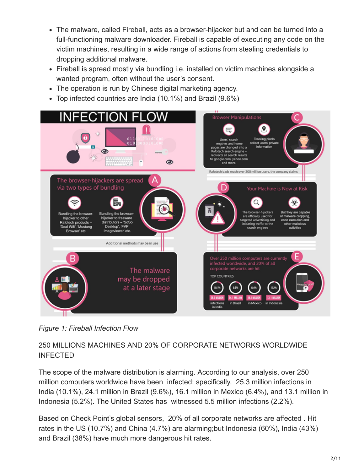- The malware, called Fireball, acts as a browser-hijacker but and can be turned into a full-functioning malware downloader. Fireball is capable of executing any code on the victim machines, resulting in a wide range of actions from stealing credentials to dropping additional malware.
- Fireball is spread mostly via bundling i.e. installed on victim machines alongside a wanted program, often without the user's consent.
- The operation is run by Chinese digital marketing agency.
- Top infected countries are India (10.1%) and Brazil (9.6%)



*Figure 1: Fireball Infection Flow*

# 250 MILLIONS MACHINES AND 20% OF CORPORATE NETWORKS WORLDWIDE INFECTED

The scope of the malware distribution is alarming. According to our analysis, over 250 million computers worldwide have been infected: specifically, 25.3 million infections in India (10.1%), 24.1 million in Brazil (9.6%), 16.1 million in Mexico (6.4%), and 13.1 million in Indonesia (5.2%). The United States has witnessed 5.5 million infections (2.2%).

Based on Check Point's global sensors, 20% of all corporate networks are affected . Hit rates in the US (10.7%) and China (4.7%) are alarming;but Indonesia (60%), India (43%) and Brazil (38%) have much more dangerous hit rates.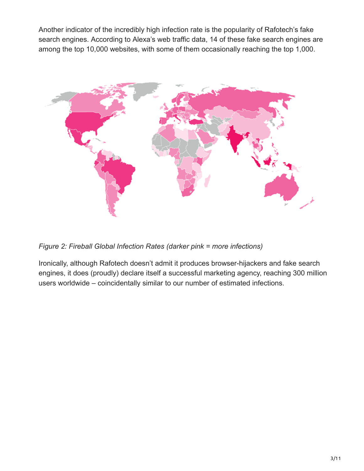Another indicator of the incredibly high infection rate is the popularity of Rafotech's fake search engines. According to Alexa's web traffic data, 14 of these fake search engines are among the top 10,000 websites, with some of them occasionally reaching the top 1,000.



*Figure 2: Fireball Global Infection Rates (darker pink = more infections)*

Ironically, although Rafotech doesn't admit it produces browser-hijackers and fake search engines, it does (proudly) declare itself a successful marketing agency, reaching 300 million users worldwide – coincidentally similar to our number of estimated infections.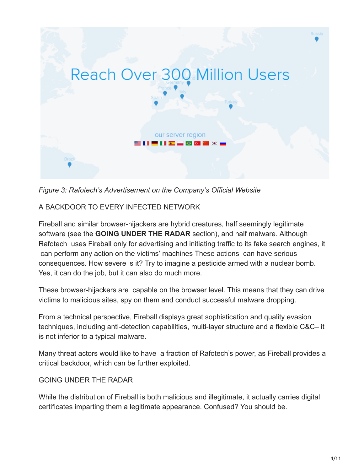

*Figure 3: Rafotech's Advertisement on the Company's Official Website*

## A BACKDOOR TO EVERY INFECTED NETWORK

Fireball and similar browser-hijackers are hybrid creatures, half seemingly legitimate software (see the **GOING UNDER THE RADAR** section), and half malware. Although Rafotech uses Fireball only for advertising and initiating traffic to its fake search engines, it can perform any action on the victims' machines These actions can have serious consequences. How severe is it? Try to imagine a pesticide armed with a nuclear bomb. Yes, it can do the job, but it can also do much more.

These browser-hijackers are capable on the browser level. This means that they can drive victims to malicious sites, spy on them and conduct successful malware dropping.

From a technical perspective, Fireball displays great sophistication and quality evasion techniques, including anti-detection capabilities, multi-layer structure and a flexible C&C– it is not inferior to a typical malware.

Many threat actors would like to have a fraction of Rafotech's power, as Fireball provides a critical backdoor, which can be further exploited.

## GOING UNDER THE RADAR

While the distribution of Fireball is both malicious and illegitimate, it actually carries digital certificates imparting them a legitimate appearance. Confused? You should be.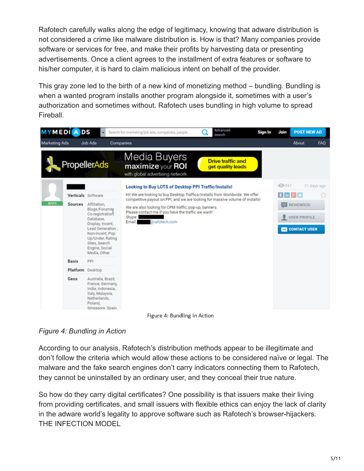Rafotech carefully walks along the edge of legitimacy, knowing that adware distribution is not considered a crime like malware distribution is. How is that? Many companies provide software or services for free, and make their profits by harvesting data or presenting advertisements. Once a client agrees to the installment of extra features or software to his/her computer, it is hard to claim malicious intent on behalf of the provider.

This gray zone led to the birth of a new kind of monetizing method – bundling. Bundling is when a wanted program installs another program alongside it, sometimes with a user's authorization and sometimes without. Rafotech uses bundling in high volume to spread Fireball.



Figure 4: Bundling in Action

*Figure 4: Bundling in Action*

According to our analysis, Rafotech's distribution methods appear to be illegitimate and don't follow the criteria which would allow these actions to be considered naïve or legal. The malware and the fake search engines don't carry indicators connecting them to Rafotech, they cannot be uninstalled by an ordinary user, and they conceal their true nature.

So how do they carry digital certificates? One possibility is that issuers make their living from providing certificates, and small issuers with flexible ethics can enjoy the lack of clarity in the adware world's legality to approve software such as Rafotech's browser-hijackers. THE INFECTION MODEL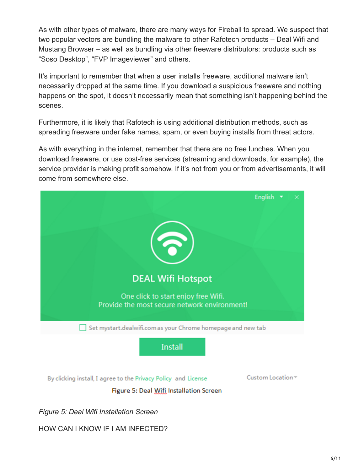As with other types of malware, there are many ways for Fireball to spread. We suspect that two popular vectors are bundling the malware to other Rafotech products – Deal Wifi and Mustang Browser – as well as bundling via other freeware distributors: products such as "Soso Desktop", "FVP Imageviewer" and others.

It's important to remember that when a user installs freeware, additional malware isn't necessarily dropped at the same time. If you download a suspicious freeware and nothing happens on the spot, it doesn't necessarily mean that something isn't happening behind the scenes.

Furthermore, it is likely that Rafotech is using additional distribution methods, such as spreading freeware under fake names, spam, or even buying installs from threat actors.

As with everything in the internet, remember that there are no free lunches. When you download freeware, or use cost-free services (streaming and downloads, for example), the service provider is making profit somehow. If it's not from you or from advertisements, it will come from somewhere else.



*Figure 5: Deal Wifi Installation Screen*

#### HOW CAN I KNOW IF I AM INFECTED?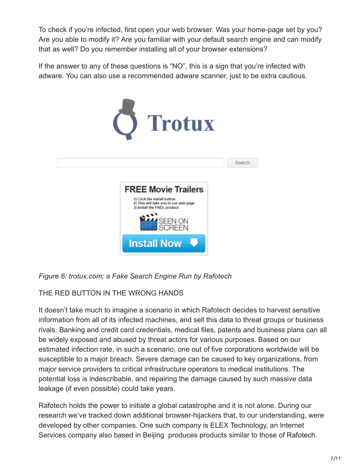To check if you're infected, first open your web browser. Was your home-page set by you? Are you able to modify it? Are you familiar with your default search engine and can modify that as well? Do you remember installing all of your browser extensions?

If the answer to any of these questions is "NO", this is a sign that you're infected with adware. You can also use a recommended adware scanner, just to be extra cautious.



*Figure 6: trotux.com; a Fake Search Engine Run by Rafotech*

THE RED BUTTON IN THE WRONG HANDS

It doesn't take much to imagine a scenario in which Rafotech decides to harvest sensitive information from all of its infected machines, and sell this data to threat groups or business rivals. Banking and credit card credentials, medical files, patents and business plans can all be widely exposed and abused by threat actors for various purposes. Based on our estimated infection rate, in such a scenario, one out of five corporations worldwide will be susceptible to a major breach. Severe damage can be caused to key organizations, from major service providers to critical infrastructure operators to medical institutions. The potential loss is indescribable, and repairing the damage caused by such massive data leakage (if even possible) could take years.

Rafotech holds the power to initiate a global catastrophe and it is not alone. During our research we've tracked down additional browser-hijackers that, to our understanding, were developed by other companies. One such company is ELEX Technology, an Internet Services company also based in Beijing produces products similar to those of Rafotech.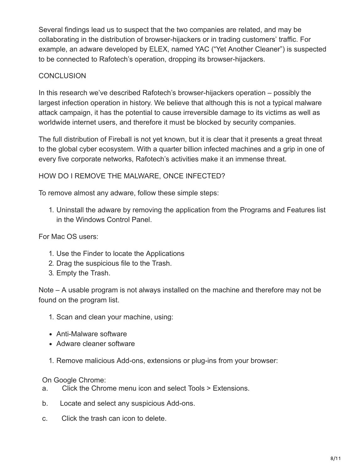Several findings lead us to suspect that the two companies are related, and may be collaborating in the distribution of browser-hijackers or in trading customers' traffic. For example, an adware developed by ELEX, named YAC ("Yet Another Cleaner") is suspected to be connected to Rafotech's operation, dropping its browser-hijackers.

## **CONCLUSION**

In this research we've described Rafotech's browser-hijackers operation – possibly the largest infection operation in history. We believe that although this is not a typical malware attack campaign, it has the potential to cause irreversible damage to its victims as well as worldwide internet users, and therefore it must be blocked by security companies.

The full distribution of Fireball is not yet known, but it is clear that it presents a great threat to the global cyber ecosystem. With a quarter billion infected machines and a grip in one of every five corporate networks, Rafotech's activities make it an immense threat.

## HOW DO I REMOVE THE MALWARE, ONCE INFECTED?

To remove almost any adware, follow these simple steps:

1. Uninstall the adware by removing the application from the Programs and Features list in the Windows Control Panel.

For Mac OS users:

- 1. Use the Finder to locate the Applications
- 2. Drag the suspicious file to the Trash.
- 3. Empty the Trash.

Note – A usable program is not always installed on the machine and therefore may not be found on the program list.

- 1. Scan and clean your machine, using:
- Anti-Malware software
- Adware cleaner software
- 1. Remove malicious Add-ons, extensions or plug-ins from your browser:

On Google Chrome:

- a. Click the Chrome menu icon and select Tools > Extensions.
- b. Locate and select any suspicious Add-ons.
- c. Click the trash can icon to delete.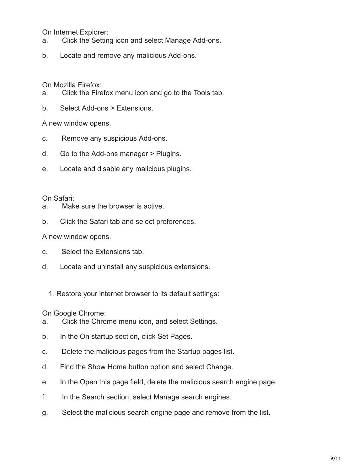On Internet Explorer:

- a. Click the Setting icon and select Manage Add-ons.
- b. Locate and remove any malicious Add-ons.

On Mozilla Firefox:

- a. Click the Firefox menu icon and go to the Tools tab.
- b. Select Add-ons > Extensions.

A new window opens.

- c. Remove any suspicious Add-ons.
- d. Go to the Add-ons manager > Plugins.
- e. Locate and disable any malicious plugins.

On Safari:

- a. Make sure the browser is active.
- b. Click the Safari tab and select preferences.

A new window opens.

- c. Select the Extensions tab.
- d. Locate and uninstall any suspicious extensions.
	- 1. Restore your internet browser to its default settings:

On Google Chrome:

- a. Click the Chrome menu icon, and select Settings.
- b. In the On startup section, click Set Pages.
- c. Delete the malicious pages from the Startup pages list.
- d. Find the Show Home button option and select Change.
- e. In the Open this page field, delete the malicious search engine page.
- f. In the Search section, select Manage search engines.
- g. Select the malicious search engine page and remove from the list.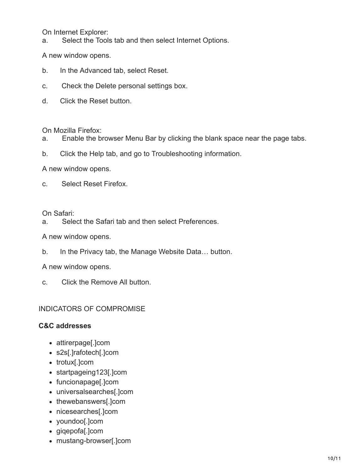On Internet Explorer:

a. Select the Tools tab and then select Internet Options.

A new window opens.

- b. In the Advanced tab, select Reset.
- c. Check the Delete personal settings box.
- d. Click the Reset button.

On Mozilla Firefox:

- a. Enable the browser Menu Bar by clicking the blank space near the page tabs.
- b. Click the Help tab, and go to Troubleshooting information.

A new window opens.

c. Select Reset Firefox.

On Safari:

a. Select the Safari tab and then select Preferences.

A new window opens.

b. In the Privacy tab, the Manage Website Data… button.

A new window opens.

c. Click the Remove All button.

#### INDICATORS OF COMPROMISE

#### **C&C addresses**

- attirerpage[.]com
- s2s[.]rafotech[.]com
- trotux[.]com
- startpageing123[.]com
- funcionapage[.]com
- universalsearches[.]com
- thewebanswers[.]com
- nicesearches[.]com
- youndoo[.]com
- giqepofa[.]com
- mustang-browser[.]com